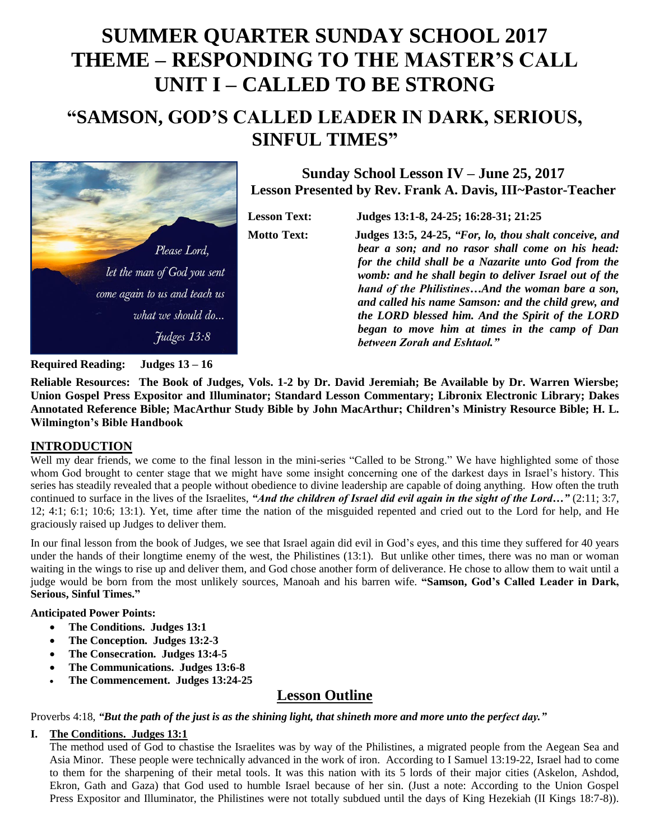# **SUMMER QUARTER SUNDAY SCHOOL 2017 THEME – RESPONDING TO THE MASTER'S CALL UNIT I – CALLED TO BE STRONG**

## **"SAMSON, GOD'S CALLED LEADER IN DARK, SERIOUS, SINFUL TIMES"**



**Sunday School Lesson IV – June 25, 2017 Lesson Presented by Rev. Frank A. Davis, III~Pastor-Teacher**

**Lesson Text: Judges 13:1-8, 24-25; 16:28-31; 21:25 Motto Text: Judges 13:5, 24-25,** *"For, lo, thou shalt conceive, and bear a son; and no rasor shall come on his head: for the child shall be a Nazarite unto God from the womb: and he shall begin to deliver Israel out of the hand of the Philistines…And the woman bare a son, and called his name Samson: and the child grew, and the LORD blessed him. And the Spirit of the LORD began to move him at times in the camp of Dan between Zorah and Eshtaol."*

**Required Reading: Judges 13 – 16**

**Reliable Resources: The Book of Judges, Vols. 1-2 by Dr. David Jeremiah; Be Available by Dr. Warren Wiersbe; Union Gospel Press Expositor and Illuminator; Standard Lesson Commentary; Libronix Electronic Library; Dakes Annotated Reference Bible; MacArthur Study Bible by John MacArthur; Children's Ministry Resource Bible; H. L. Wilmington's Bible Handbook**

#### **INTRODUCTION**

Well my dear friends, we come to the final lesson in the mini-series "Called to be Strong." We have highlighted some of those whom God brought to center stage that we might have some insight concerning one of the darkest days in Israel's history. This series has steadily revealed that a people without obedience to divine leadership are capable of doing anything. How often the truth continued to surface in the lives of the Israelites, "*And the children of Israel did evil again in the sight of the Lord...*" (2:11; 3:7, 12; 4:1; 6:1; 10:6; 13:1). Yet, time after time the nation of the misguided repented and cried out to the Lord for help, and He graciously raised up Judges to deliver them.

In our final lesson from the book of Judges, we see that Israel again did evil in God's eyes, and this time they suffered for 40 years under the hands of their longtime enemy of the west, the Philistines (13:1). But unlike other times, there was no man or woman waiting in the wings to rise up and deliver them, and God chose another form of deliverance. He chose to allow them to wait until a judge would be born from the most unlikely sources, Manoah and his barren wife. **"Samson, God's Called Leader in Dark, Serious, Sinful Times."**

#### **Anticipated Power Points:**

- **The Conditions. Judges 13:1**
- **The Conception. Judges 13:2-3**
- **The Consecration. Judges 13:4-5**
- **The Communications. Judges 13:6-8**
- **The Commencement. Judges 13:24-25**

### **Lesson Outline**

Proverbs 4:18, *"But the path of the just is as the shining light, that shineth more and more unto the perfect day."*

#### **I. The Conditions. Judges 13:1**

The method used of God to chastise the Israelites was by way of the Philistines, a migrated people from the Aegean Sea and Asia Minor. These people were technically advanced in the work of iron. According to I Samuel 13:19-22, Israel had to come to them for the sharpening of their metal tools. It was this nation with its 5 lords of their major cities (Askelon, Ashdod, Ekron, Gath and Gaza) that God used to humble Israel because of her sin. (Just a note: According to the Union Gospel Press Expositor and Illuminator, the Philistines were not totally subdued until the days of King Hezekiah (II Kings 18:7-8)).